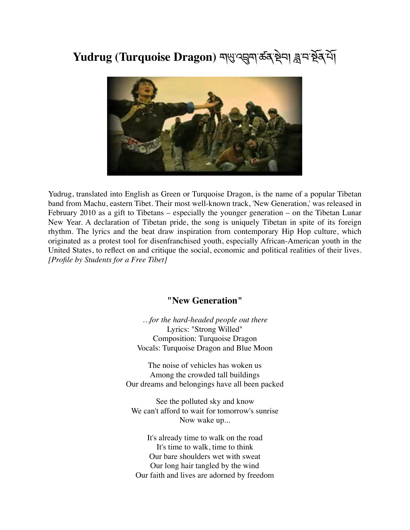## Yudrug (Turquoise Dragon) নাম্ভ্ৰন্থেনাৰ্ক্তবা ব্লান্ম ষ্টৰ্নী



Yudrug, translated into English as Green or Turquoise Dragon, is the name of a popular Tibetan band from Machu, eastern Tibet. Their most well-known track, 'New Generation,' was released in February 2010 as a gift to Tibetans – especially the younger generation – on the Tibetan Lunar New Year. A declaration of Tibetan pride, the song is uniquely Tibetan in spite of its foreign rhythm. The lyrics and the beat draw inspiration from contemporary Hip Hop culture, which originated as a protest tool for disenfranchised youth, especially African-American youth in the United States, to reflect on and critique the social, economic and political realities of their lives. *[Profile by Students for a Free Tibet]*

## **"New Generation"**

*…for the hard-headed people out there* Lyrics: "Strong Willed" Composition: Turquoise Dragon Vocals: Turquoise Dragon and Blue Moon

The noise of vehicles has woken us Among the crowded tall buildings Our dreams and belongings have all been packed

See the polluted sky and know We can't afford to wait for tomorrow's sunrise Now wake up...

It's already time to walk on the road It's time to walk, time to think Our bare shoulders wet with sweat Our long hair tangled by the wind Our faith and lives are adorned by freedom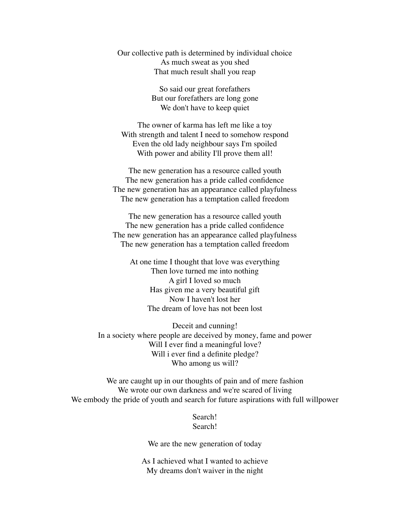Our collective path is determined by individual choice As much sweat as you shed That much result shall you reap

> So said our great forefathers But our forefathers are long gone We don't have to keep quiet

The owner of karma has left me like a toy With strength and talent I need to somehow respond Even the old lady neighbour says I'm spoiled With power and ability I'll prove them all!

The new generation has a resource called youth The new generation has a pride called confidence The new generation has an appearance called playfulness The new generation has a temptation called freedom

The new generation has a resource called youth The new generation has a pride called confidence The new generation has an appearance called playfulness The new generation has a temptation called freedom

At one time I thought that love was everything Then love turned me into nothing A girl I loved so much Has given me a very beautiful gift Now I haven't lost her The dream of love has not been lost

Deceit and cunning! In a society where people are deceived by money, fame and power Will I ever find a meaningful love? Will i ever find a definite pledge? Who among us will?

We are caught up in our thoughts of pain and of mere fashion We wrote our own darkness and we're scared of living We embody the pride of youth and search for future aspirations with full willpower

> Search! Search!

We are the new generation of today

As I achieved what I wanted to achieve My dreams don't waiver in the night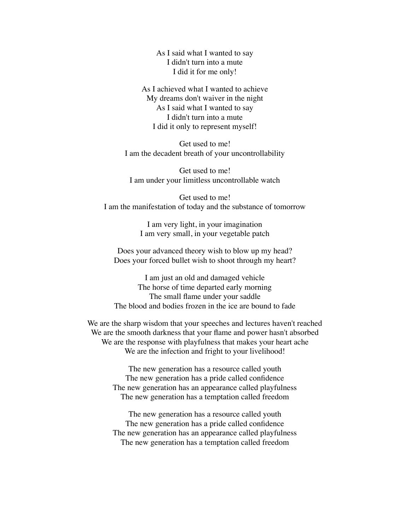As I said what I wanted to say I didn't turn into a mute I did it for me only!

As I achieved what I wanted to achieve My dreams don't waiver in the night As I said what I wanted to say I didn't turn into a mute I did it only to represent myself!

Get used to me! I am the decadent breath of your uncontrollability

Get used to me! I am under your limitless uncontrollable watch

Get used to me! I am the manifestation of today and the substance of tomorrow

> I am very light, in your imagination I am very small, in your vegetable patch

Does your advanced theory wish to blow up my head? Does your forced bullet wish to shoot through my heart?

I am just an old and damaged vehicle The horse of time departed early morning The small flame under your saddle The blood and bodies frozen in the ice are bound to fade

We are the sharp wisdom that your speeches and lectures haven't reached We are the smooth darkness that your flame and power hasn't absorbed We are the response with playfulness that makes your heart ache We are the infection and fright to your livelihood!

> The new generation has a resource called youth The new generation has a pride called confidence The new generation has an appearance called playfulness The new generation has a temptation called freedom

> The new generation has a resource called youth The new generation has a pride called confidence The new generation has an appearance called playfulness The new generation has a temptation called freedom